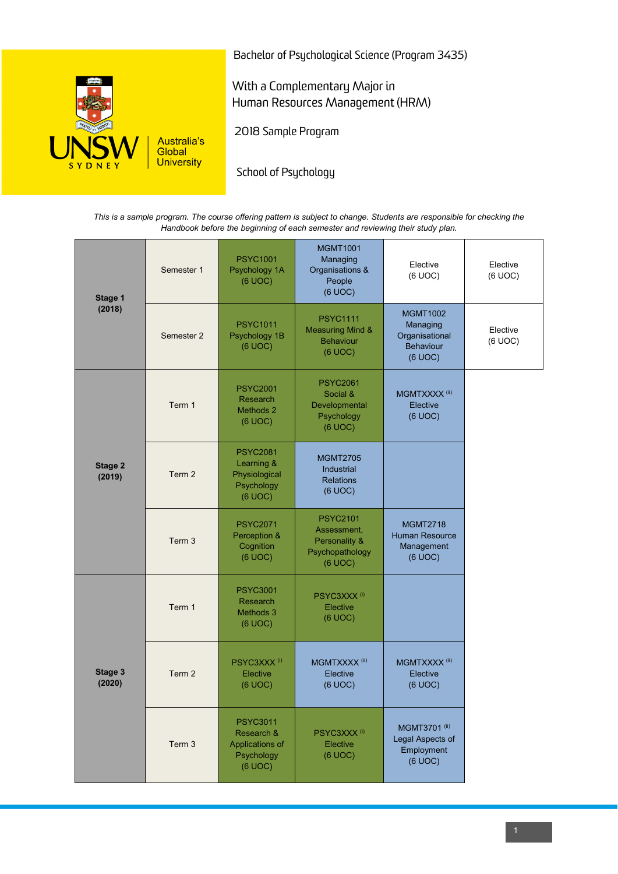

Bachelor of Psychological Science (Program 3435)

With a Complementary Major in Human Resources Management (HRM)

2018 Sample Program

School of Psychology

*This is a sample program. The course offering pattern is subject to change. Students are responsible for checking the Handbook before the beginning of each semester and reviewing their study plan.*

| Stage 1<br>(2018)        | Semester 1        | <b>PSYC1001</b><br>Psychology 1A<br>(6 UOC)                               | <b>MGMT1001</b><br>Managing<br>Organisations &<br>People<br>(6 UOC)           | Elective<br>(6 UOC)                                                   | Elective<br>(6 UOC) |
|--------------------------|-------------------|---------------------------------------------------------------------------|-------------------------------------------------------------------------------|-----------------------------------------------------------------------|---------------------|
|                          | Semester 2        | <b>PSYC1011</b><br>Psychology 1B<br>(6 UOC)                               | <b>PSYC1111</b><br><b>Measuring Mind &amp;</b><br><b>Behaviour</b><br>(6 UOC) | <b>MGMT1002</b><br>Managing<br>Organisational<br>Behaviour<br>(6 UOC) | Elective<br>(6 UOC) |
| <b>Stage 2</b><br>(2019) | Term 1            | <b>PSYC2001</b><br>Research<br>Methods 2<br>(6 UOC)                       | <b>PSYC2061</b><br>Social &<br>Developmental<br>Psychology<br>(6 UOC)         | MGMTXXXX <sup>(ii)</sup><br>Elective<br>(6 UOC)                       |                     |
|                          | Term 2            | <b>PSYC2081</b><br>Learning &<br>Physiological<br>Psychology<br>(6 UOC)   | <b>MGMT2705</b><br>Industrial<br><b>Relations</b><br>(6 UOC)                  |                                                                       |                     |
|                          | Term <sub>3</sub> | <b>PSYC2071</b><br>Perception &<br>Cognition<br>(6 UOC)                   | <b>PSYC2101</b><br>Assessment.<br>Personality &<br>Psychopathology<br>(6 UOC) | <b>MGMT2718</b><br>Human Resource<br>Management<br>(6 UOC)            |                     |
| Stage 3<br>(2020)        | Term 1            | <b>PSYC3001</b><br>Research<br>Methods 3<br>(6 UOC)                       | PSYC3XXX <sup>(i)</sup><br>Elective<br>(6 UOC)                                |                                                                       |                     |
|                          | Term 2            | PSYC3XXX <sup>(i)</sup><br>Elective<br>(6 UOC)                            | MGMTXXXX <sup>(ii)</sup><br>Elective<br>(6 UOC)                               | MGMTXXXX <sup>(ii)</sup><br>Elective<br>(6 UOC)                       |                     |
|                          | Term 3            | <b>PSYC3011</b><br>Research &<br>Applications of<br>Psychology<br>(6 UOC) | PSYC3XXX <sup>(i)</sup><br>Elective<br>(6 UOC)                                | MGMT3701 <sup>(ii)</sup><br>Legal Aspects of<br>Employment<br>(6 UOC) |                     |